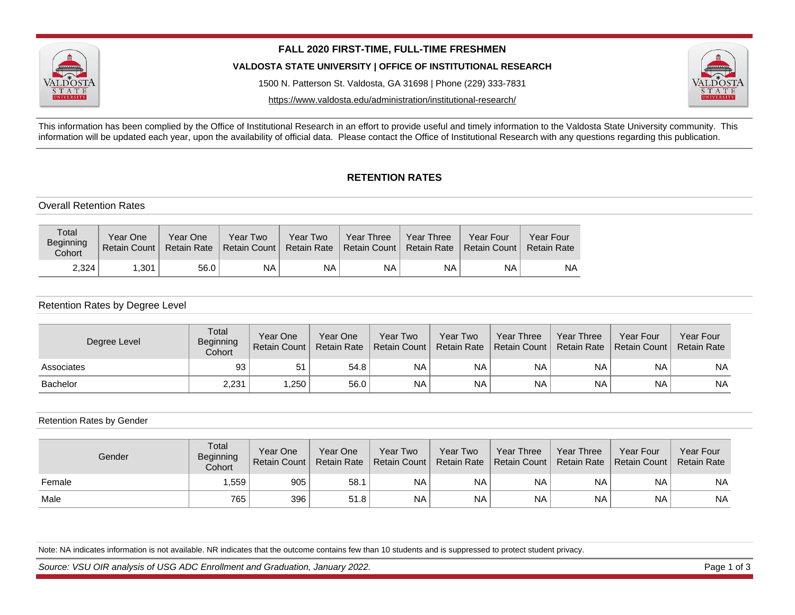

**FALL 2020 FIRST-TIME, FULL-TIME FRESHMEN**

**VALDOSTA STATE UNIVERSITY | OFFICE OF INSTITUTIONAL RESEARCH**

1500 N. Patterson St. Valdosta, GA 31698 | Phone (229) 333-7831

https://www.valdosta.edu/administration/institutional-research/



This information has been complied by the Office of Institutional Research in an effort to provide useful and timely information to the Valdosta State University community. This information will be updated each year, upon the availability of official data. Please contact the Office of Institutional Research with any questions regarding this publication.

# **RETENTION RATES**

## Overall Retention Rates

| Total<br>Beginning<br>Cohort | Year One<br><b>Retain Count</b> | Year One<br><b>Retain Rate</b> | Year Two<br>Retain Count | Year Two<br><b>Retain Rate</b> | Year Three<br>Retain Count | Year Three<br><b>Retain Rate</b> | Year Four<br><b>Retain Count</b> | Year Four<br><b>Retain Rate</b> |
|------------------------------|---------------------------------|--------------------------------|--------------------------|--------------------------------|----------------------------|----------------------------------|----------------------------------|---------------------------------|
| 2.324                        | .301                            | 56.0                           | <b>NA</b>                | NA                             | ΝA                         | <b>NA</b>                        | <b>NA</b>                        | ΝA                              |

## Retention Rates by Degree Level

| Degree Level    | Total<br>Beginning<br>Cohort | Year One<br>Retain Count I | Year One<br><b>Retain Rate</b> | Year Two<br>Retain Count | Year Two<br><b>Retain Rate</b> | Year Three<br><b>Retain Count</b> | Year Three<br><b>Retain Rate</b> | Year Four<br>  Retain Count | <b>Year Four</b><br><b>Retain Rate</b> |
|-----------------|------------------------------|----------------------------|--------------------------------|--------------------------|--------------------------------|-----------------------------------|----------------------------------|-----------------------------|----------------------------------------|
| Associates      | 93                           | 51                         | 54.8                           | <b>NA</b>                | <b>NA</b>                      | <b>NA</b>                         | <b>NA</b>                        | <b>NA</b>                   | NA                                     |
| <b>Bachelor</b> | 2,231                        | ,250                       | 56.0                           | <b>NA</b>                | <b>NA</b>                      | <b>NA</b>                         | <b>NA</b>                        | <b>NA</b>                   | <b>NA</b>                              |

#### Retention Rates by Gender

| Gender | Total<br><b>Beginning</b><br>Cohort | Year One<br>Retain Count | Year One<br><b>Retain Rate</b> | Year Two<br>Retain Count I | Year Two<br><b>Retain Rate</b> | <b>Year Three</b><br>Retain Count L | Year Three | Year Four<br>Retain Rate   Retain Count | Year Four<br><b>Retain Rate</b> |
|--------|-------------------------------------|--------------------------|--------------------------------|----------------------------|--------------------------------|-------------------------------------|------------|-----------------------------------------|---------------------------------|
| Female | ,559                                | 905                      | 58.1                           | <b>NA</b>                  | <b>NA</b>                      | <b>NA</b>                           | <b>NA</b>  | <b>NA</b>                               | <b>NA</b>                       |
| Male   | 765                                 | 396                      | 51.8                           | <b>NA</b>                  | <b>NA</b>                      | <b>NA</b>                           | <b>NA</b>  | <b>NA</b>                               | <b>NA</b>                       |

Note: NA indicates information is not available. NR indicates that the outcome contains few than 10 students and is suppressed to protect student privacy.

Source: VSU OIR analysis of USG ADC Enrollment and Graduation, January 2022.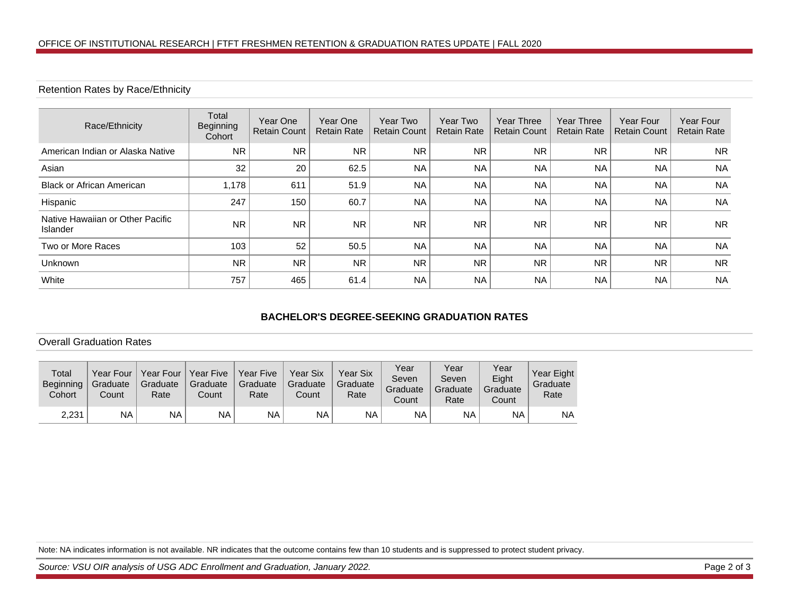## Retention Rates by Race/Ethnicity

| Race/Ethnicity                               | Total<br>Beginning<br>Cohort | Year One<br><b>Retain Count</b> | Year One<br><b>Retain Rate</b> | Year Two<br><b>Retain Count</b> | Year Two<br><b>Retain Rate</b> | <b>Year Three</b><br><b>Retain Count</b> | Year Three<br><b>Retain Rate</b> | Year Four<br><b>Retain Count</b> | <b>Year Four</b><br><b>Retain Rate</b> |
|----------------------------------------------|------------------------------|---------------------------------|--------------------------------|---------------------------------|--------------------------------|------------------------------------------|----------------------------------|----------------------------------|----------------------------------------|
| American Indian or Alaska Native             | <b>NR</b>                    | <b>NR</b>                       | <b>NR</b>                      | <b>NR</b>                       | <b>NR</b>                      | <b>NR</b>                                | <b>NR</b>                        | <b>NR</b>                        | NR.                                    |
| Asian                                        | 32                           | 20                              | 62.5                           | <b>NA</b>                       | <b>NA</b>                      | <b>NA</b>                                | <b>NA</b>                        | <b>NA</b>                        | <b>NA</b>                              |
| <b>Black or African American</b>             | 1.178                        | 611                             | 51.9                           | <b>NA</b>                       | <b>NA</b>                      | <b>NA</b>                                | <b>NA</b>                        | <b>NA</b>                        | <b>NA</b>                              |
| Hispanic                                     | 247                          | 150                             | 60.7                           | <b>NA</b>                       | <b>NA</b>                      | <b>NA</b>                                | <b>NA</b>                        | <b>NA</b>                        | <b>NA</b>                              |
| Native Hawaiian or Other Pacific<br>Islander | <b>NR</b>                    | <b>NR</b>                       | <b>NR</b>                      | <b>NR</b>                       | <b>NR</b>                      | <b>NR</b>                                | <b>NR</b>                        | <b>NR</b>                        | <b>NR</b>                              |
| Two or More Races                            | 103                          | 52                              | 50.5                           | <b>NA</b>                       | <b>NA</b>                      | <b>NA</b>                                | <b>NA</b>                        | <b>NA</b>                        | <b>NA</b>                              |
| <b>Unknown</b>                               | <b>NR</b>                    | <b>NR</b>                       | <b>NR</b>                      | <b>NR</b>                       | <b>NR</b>                      | <b>NR</b>                                | <b>NR</b>                        | <b>NR</b>                        | <b>NR</b>                              |
| White                                        | 757                          | 465                             | 61.4                           | <b>NA</b>                       | <b>NA</b>                      | <b>NA</b>                                | <b>NA</b>                        | <b>NA</b>                        | <b>NA</b>                              |

# **BACHELOR'S DEGREE-SEEKING GRADUATION RATES**

#### Overall Graduation Rates

| Total<br><b>Beginning</b><br>Cohort | Year Four<br>Graduate<br>Count | Year Four<br>Graduate<br>Rate | Year Five<br>Graduate<br>Count | Year Five<br>Graduate<br>Rate | <b>Year Six</b><br>Graduate<br>Count | Year Six<br>Graduate<br>Rate | Year<br>Seven<br>Graduate<br>Count | Year<br>Seven<br>Graduate<br>Rate | Year<br>Eight<br>Graduate<br>Count | Year Eight<br>Graduate<br>Rate |
|-------------------------------------|--------------------------------|-------------------------------|--------------------------------|-------------------------------|--------------------------------------|------------------------------|------------------------------------|-----------------------------------|------------------------------------|--------------------------------|
| 2,231                               | ΝA                             | NA                            | <b>NA</b>                      | NA                            | NA.                                  | <b>NA</b>                    | NA.                                | NA                                | NA                                 | NA                             |

Note: NA indicates information is not available. NR indicates that the outcome contains few than 10 students and is suppressed to protect student privacy.

Source: VSU OIR analysis of USG ADC Enrollment and Graduation, January 2022. Compared to the state of 3 and 2 of 3